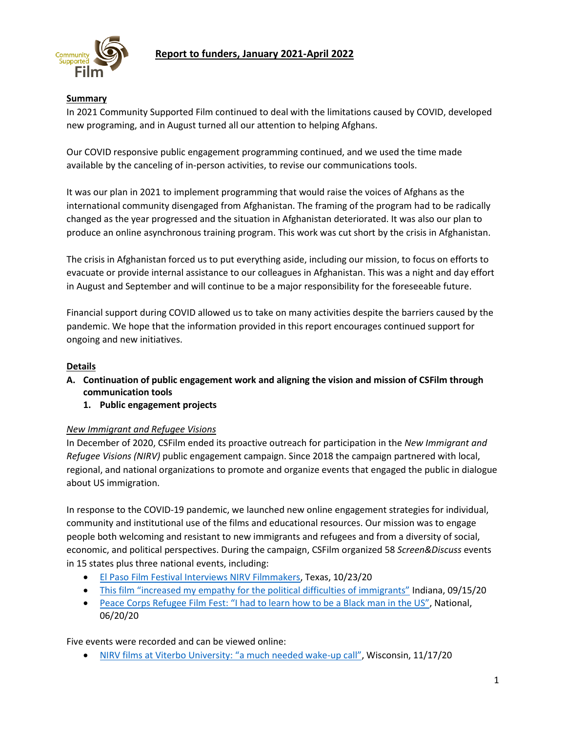

### **Summary**

In 2021 Community Supported Film continued to deal with the limitations caused by COVID, developed new programing, and in August turned all our attention to helping Afghans.

Our COVID responsive public engagement programming continued, and we used the time made available by the canceling of in-person activities, to revise our communications tools.

It was our plan in 2021 to implement programming that would raise the voices of Afghans as the international community disengaged from Afghanistan. The framing of the program had to be radically changed as the year progressed and the situation in Afghanistan deteriorated. It was also our plan to produce an online asynchronous training program. This work was cut short by the crisis in Afghanistan.

The crisis in Afghanistan forced us to put everything aside, including our mission, to focus on efforts to evacuate or provide internal assistance to our colleagues in Afghanistan. This was a night and day effort in August and September and will continue to be a major responsibility for the foreseeable future.

Financial support during COVID allowed us to take on many activities despite the barriers caused by the pandemic. We hope that the information provided in this report encourages continued support for ongoing and new initiatives.

#### **Details**

- **A. Continuation of public engagement work and aligning the vision and mission of CSFilm through communication tools**
	- **1. Public engagement projects**

#### *New Immigrant and Refugee Visions*

In December of 2020, CSFilm ended its proactive outreach for participation in the *New Immigrant and Refugee Visions (NIRV)* public engagement campaign. Since 2018 the campaign partnered with local, regional, and national organizations to promote and organize events that engaged the public in dialogue about US immigration.

In response to the COVID-19 pandemic, we launched new online engagement strategies for individual, community and institutional use of the films and educational resources. Our mission was to engage people both welcoming and resistant to new immigrants and refugees and from a diversity of social, economic, and political perspectives. During the campaign, CSFilm organized 58 *Screen&Discuss* events in 15 states plus three national events, including:

- [El Paso Film Festival Interviews NIRV Filmmakers,](https://csfilm.org/2020/10/el-paso-film-festival-interviews-nirv-filmmakers/) Texas, 10/23/20
- [This film "increased my empathy for the political difficulties of immigrants"](https://csfilm.org/2020/09/this-film-increased-my-empathy-for-the-political-difficulties-of-immigrants/) Indiana, 09/15/20
- [Peace Corps Refugee Film Fest: "I had to learn how to be a Black man in the US"](https://csfilm.org/2020/06/these-films-remind-me-that-our-humanity-is-universal/), National, 06/20/20

Five events were recorded and can be viewed online:

• [NIRV films at Viterbo University: "a much needed wake](https://csfilm.org/2020/11/nirv-films-at-viterbo-university-a-much-needed-wake-up-call/)-up call", Wisconsin, 11/17/20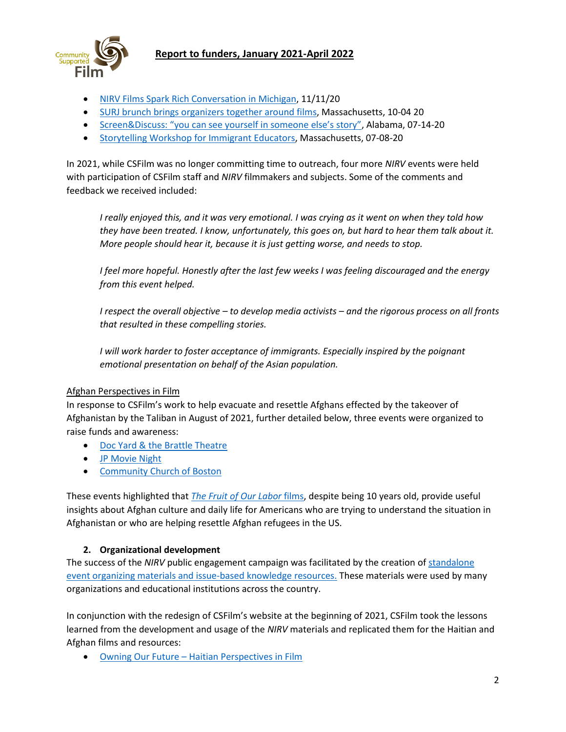

- [NIRV Films Spark Rich Conversation in Michigan,](https://csfilm.org/2020/11/nirv-films-spark-rich-conversation-in-michigan/) 11/11/20
- [SURJ brunch brings organizers together around films,](https://csfilm.org/2020/10/surj-screendiscuss-brunch-brings-organizers-together-around-films/) Massachusetts, 10-04 20
- [Screen&Discuss: "you can see yourself in someone else's story"](https://csfilm.org/2020/07/alabama-screendiscuss-you-can-see-yourself-in-someone-elses-story/), Alabama, 07-14-20
- [Storytelling Workshop for Immigrant Educators,](https://csfilm.org/2020/07/storytelling-workshop-for-immigrant-educators-watch-and-learn/) Massachusetts, 07-08-20

In 2021, while CSFilm was no longer committing time to outreach, four more *NIRV* events were held with participation of CSFilm staff and *NIRV* filmmakers and subjects. Some of the comments and feedback we received included:

*I really enjoyed this, and it was very emotional. I was crying as it went on when they told how they have been treated. I know, unfortunately, this goes on, but hard to hear them talk about it. More people should hear it, because it is just getting worse, and needs to stop.*

*I feel more hopeful. Honestly after the last few weeks I was feeling discouraged and the energy from this event helped.*

*I respect the overall objective – to develop media activists – and the rigorous process on all fronts that resulted in these compelling stories.*

*I will work harder to foster acceptance of immigrants. Especially inspired by the poignant emotional presentation on behalf of the Asian population.*

#### Afghan Perspectives in Film

In response to CSFilm's work to help evacuate and resettle Afghans effected by the takeover of Afghanistan by the Taliban in August of 2021, further detailed below, three events were organized to raise funds and awareness:

- Doc [Yard & the Brattle](https://csfilm.org/2021/10/csfilm-benefit-screening-brattle-theater-cambridge-ma/) Theatre
- JP [Movie Night](https://csfilm.org/2021/11/screendiscuss-views-from-afghanistan-jp-movie-night-boston-ma-dec-4-7pm-in-person/)
- [Community Church of Boston](https://csfilm.org/2022/03/afghan-voices-in-terrible-times-films-and-filmmakers-april-10/)

These events highlighted that *[The Fruit of Our Labor](https://csfilm.org/fruit-of-our-labor/#films)* films, despite being 10 years old, provide useful insights about Afghan culture and daily life for Americans who are trying to understand the situation in Afghanistan or who are helping resettle Afghan refugees in the US.

#### **2. Organizational development**

The success of the *NIRV* public engagement campaign was facilitated by the creation o[f standalone](https://drive.google.com/file/d/1VIm2ogPiAszhvEI1mrpDdOictWb1cDZM/view)  [event organizing materials and issue-based knowledge resources.](https://drive.google.com/file/d/1VIm2ogPiAszhvEI1mrpDdOictWb1cDZM/view) These materials were used by many organizations and educational institutions across the country.

In conjunction with the redesign of CSFilm's website at the beginning of 2021, CSFilm took the lessons learned from the development and usage of the *NIRV* materials and replicated them for the Haitian and Afghan films and resources:

• Owning Our Future – [Haitian Perspectives in Film](https://csfilm.org/events/#OOF)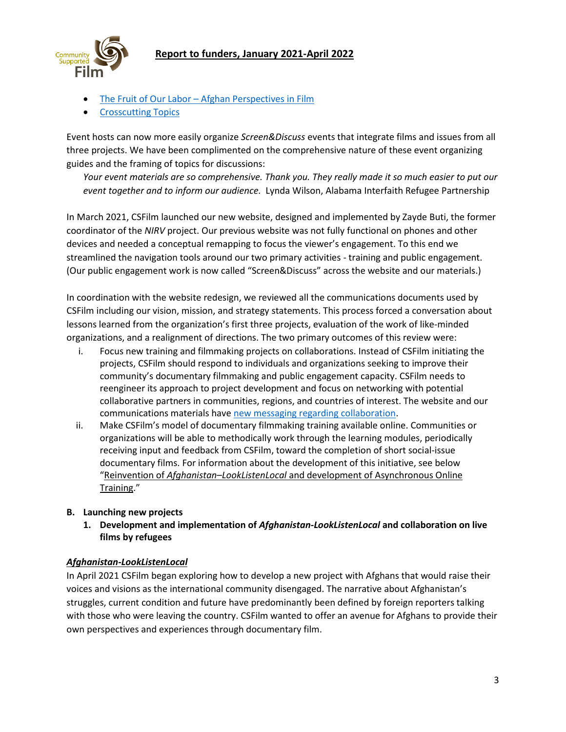



- The Fruit of Our Labor [Afghan Perspectives in Film](https://csfilm.org/events/#TFOL)
- [Crosscutting Topics](https://csfilm.org/screendiscuss-topics-for-consideration/)

Event hosts can now more easily organize *Screen&Discuss* events that integrate films and issues from all three projects. We have been complimented on the comprehensive nature of these event organizing guides and the framing of topics for discussions:

*Your event materials are so comprehensive. Thank you. They really made it so much easier to put our event together and to inform our audience.* Lynda Wilson, Alabama Interfaith Refugee Partnership

In March 2021, CSFilm launched our new website, designed and implemented by Zayde Buti, the former coordinator of the *NIRV* project. Our previous website was not fully functional on phones and other devices and needed a conceptual remapping to focus the viewer's engagement. To this end we streamlined the navigation tools around our two primary activities - training and public engagement. (Our public engagement work is now called "Screen&Discuss" across the website and our materials.)

In coordination with the website redesign, we reviewed all the communications documents used by CSFilm including our vision, mission, and strategy statements. This process forced a conversation about lessons learned from the organization's first three projects, evaluation of the work of like-minded organizations, and a realignment of directions. The two primary outcomes of this review were:

- i. Focus new training and filmmaking projects on collaborations. Instead of CSFilm initiating the projects, CSFilm should respond to individuals and organizations seeking to improve their community's documentary filmmaking and public engagement capacity. CSFilm needs to reengineer its approach to project development and focus on networking with potential collaborative partners in communities, regions, and countries of interest. The website and our communications materials hav[e new messaging regarding collaboration.](https://csfilm.org/collaboration/)
- ii. Make CSFilm's model of documentary filmmaking training available online. Communities or organizations will be able to methodically work through the learning modules, periodically receiving input and feedback from CSFilm, toward the completion of short social-issue documentary films. For information about the development of this initiative, see below "Reinvention of *Afghanistan–LookListenLocal* and development of Asynchronous Online Training."

#### **B. Launching new projects**

**1. Development and implementation of** *Afghanistan-LookListenLocal* **and collaboration on live films by refugees**

### *Afghanistan-LookListenLocal*

In April 2021 CSFilm began exploring how to develop a new project with Afghans that would raise their voices and visions as the international community disengaged. The narrative about Afghanistan's struggles, current condition and future have predominantly been defined by foreign reporters talking with those who were leaving the country. CSFilm wanted to offer an avenue for Afghans to provide their own perspectives and experiences through documentary film.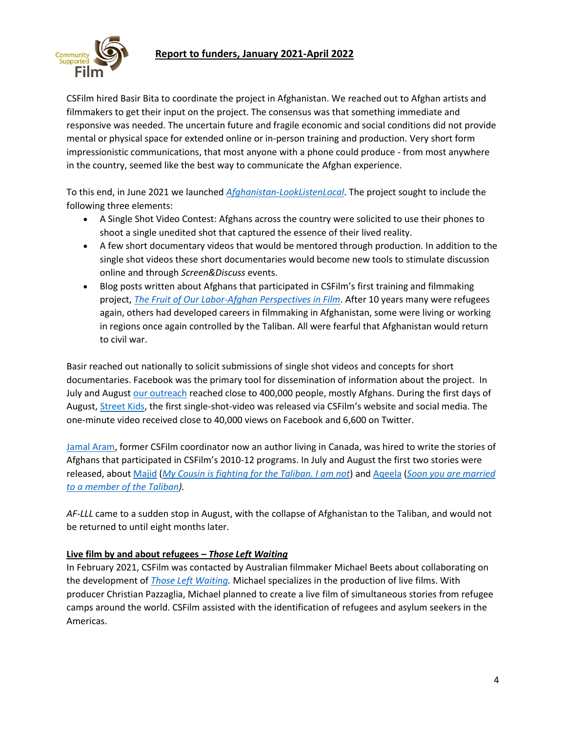

CSFilm hired Basir Bita to coordinate the project in Afghanistan. We reached out to Afghan artists and filmmakers to get their input on the project. The consensus was that something immediate and responsive was needed. The uncertain future and fragile economic and social conditions did not provide mental or physical space for extended online or in-person training and production. Very short form impressionistic communications, that most anyone with a phone could produce - from most anywhere in the country, seemed like the best way to communicate the Afghan experience.

To this end, in June 2021 we launched *[Afghanistan-LookListenLocal](https://csfilm.org/afghanistanlll/)*. The project sought to include the following three elements:

- A Single Shot Video Contest: Afghans across the country were solicited to use their phones to shoot a single unedited shot that captured the essence of their lived reality.
- A few short documentary videos that would be mentored through production. In addition to the single shot videos these short documentaries would become new tools to stimulate discussion online and through *Screen&Discuss* events.
- Blog posts written about Afghans that participated in CSFilm's first training and filmmaking project, *[The Fruit of Our Labor-Afghan Perspectives in Film](https://csfilm.org/fruit-of-our-labor/)*. After 10 years many were refugees again, others had developed careers in filmmaking in Afghanistan, some were living or working in regions once again controlled by the Taliban. All were fearful that Afghanistan would return to civil war.

Basir reached out nationally to solicit submissions of single shot videos and concepts for short documentaries. Facebook was the primary tool for dissemination of information about the project. In July and August [our](https://www.facebook.com/CommunitySupportedFilm/posts/4286386874783253) outreach reached close to 400,000 people, mostly Afghans. During the first days of August, [Street Kids,](https://csfilm.org/afghanistanlll/#video-contest) the first single-shot-video was released via CSFilm's website and social media. The one-minute video received close to 40,000 views on Facebook and 6,600 on Twitter.

[Jamal Aram,](https://csfilm.org/afghanistan-team/#aram) former CSFilm coordinator now an author living in Canada, was hired to write the stories of Afghans that participated in CSFilm's 2010-12 programs. In July and August the first two stories were released, about [Majid](https://csfilm.org/fruit-of-our-labor/#water) (*[My Cousin is fighting for the Taliban. I am not](https://csfilm.org/2021/08/my-cousin-is-fighting-for-the-taliban-i-am-not-afghanistan-21-looklistenlocal/)*) and [Aqeela](https://csfilm.org/fruit-of-our-labor/#road) (*[Soon you are married](https://csfilm.org/2021/08/soon-you-are-married-to-a-member-of-the-taliban-an-older-man-you-neither-know-nor-like-aqeelas-story-afghanistan21-looklistenlocal/)  [to a member of the Taliban\)](https://csfilm.org/2021/08/soon-you-are-married-to-a-member-of-the-taliban-an-older-man-you-neither-know-nor-like-aqeelas-story-afghanistan21-looklistenlocal/).*

*AF-LLL* came to a sudden stop in August, with the collapse of Afghanistan to the Taliban, and would not be returned to until eight months later.

### **Live film by and about refugees –** *Those Left Waiting*

In February 2021, CSFilm was contacted by Australian filmmaker Michael Beets about collaborating on the development of *[Those Left Waiting.](https://csfilm.org/2021/05/csfilm-partnering-on-live-films-co-produced-by-refugees-2/)* Michael specializes in the production of live films. With producer Christian Pazzaglia, Michael planned to create a live film of simultaneous stories from refugee camps around the world. CSFilm assisted with the identification of refugees and asylum seekers in the Americas.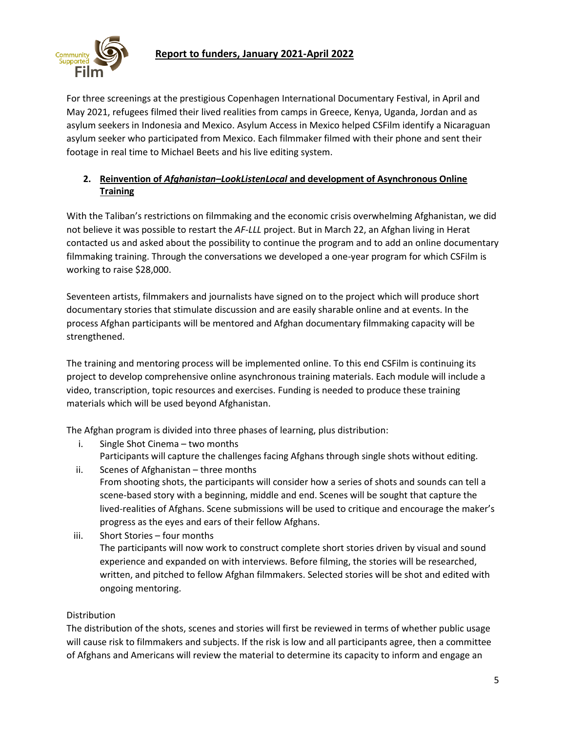For three screenings at the prestigious Copenhagen International Documentary Festival, in April and May 2021, refugees filmed their lived realities from camps in Greece, Kenya, Uganda, Jordan and as asylum seekers in Indonesia and Mexico. Asylum Access in Mexico helped CSFilm identify a Nicaraguan asylum seeker who participated from Mexico. Each filmmaker filmed with their phone and sent their footage in real time to Michael Beets and his live editing system.

# **2. Reinvention of** *Afghanistan–LookListenLocal* **and development of Asynchronous Online Training**

With the Taliban's restrictions on filmmaking and the economic crisis overwhelming Afghanistan, we did not believe it was possible to restart the *AF-LLL* project. But in March 22, an Afghan living in Herat contacted us and asked about the possibility to continue the program and to add an online documentary filmmaking training. Through the conversations we developed a one-year program for which CSFilm is working to raise \$28,000.

Seventeen artists, filmmakers and journalists have signed on to the project which will produce short documentary stories that stimulate discussion and are easily sharable online and at events. In the process Afghan participants will be mentored and Afghan documentary filmmaking capacity will be strengthened.

The training and mentoring process will be implemented online. To this end CSFilm is continuing its project to develop comprehensive online asynchronous training materials. Each module will include a video, transcription, topic resources and exercises. Funding is needed to produce these training materials which will be used beyond Afghanistan.

The Afghan program is divided into three phases of learning, plus distribution:

- i. Single Shot Cinema two months
- Participants will capture the challenges facing Afghans through single shots without editing. ii. Scenes of Afghanistan – three months
- From shooting shots, the participants will consider how a series of shots and sounds can tell a scene-based story with a beginning, middle and end. Scenes will be sought that capture the lived-realities of Afghans. Scene submissions will be used to critique and encourage the maker's progress as the eyes and ears of their fellow Afghans.
- iii. Short Stories four months The participants will now work to construct complete short stories driven by visual and sound experience and expanded on with interviews. Before filming, the stories will be researched, written, and pitched to fellow Afghan filmmakers. Selected stories will be shot and edited with ongoing mentoring.

# Distribution

The distribution of the shots, scenes and stories will first be reviewed in terms of whether public usage will cause risk to filmmakers and subjects. If the risk is low and all participants agree, then a committee of Afghans and Americans will review the material to determine its capacity to inform and engage an